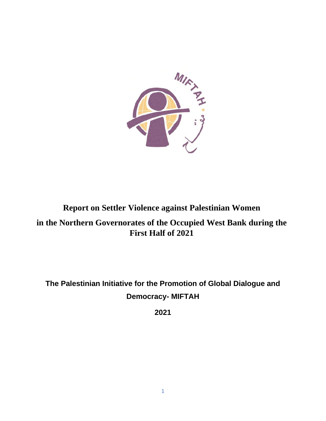

# **Report on Settler Violence against Palestinian Women**

**in the Northern Governorates of the Occupied West Bank during the First Half of 2021**

# **The Palestinian Initiative for the Promotion of Global Dialogue and Democracy- MIFTAH**

**2021**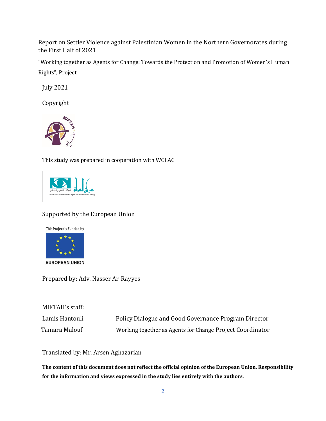Report on Settler Violence against Palestinian Women in the Northern Governorates during the First Half of 2021

"Working together as Agents for Change: Towards the Protection and Promotion of Women's Human Rights", Project

July 2021

Copyright



This study was prepared in cooperation with WCLAC



## Supported by the European Union



Prepared by: Adv. Nasser Ar-Rayyes

| MIFTAH's staff: |                                                           |
|-----------------|-----------------------------------------------------------|
| Lamis Hantouli  | Policy Dialogue and Good Governance Program Director      |
| Tamara Malouf   | Working together as Agents for Change Project Coordinator |

Translated by: Mr. Arsen Aghazarian

**The content of this document does not reflect the official opinion of the European Union. Responsibility for the information and views expressed in the study lies entirely with the authors.**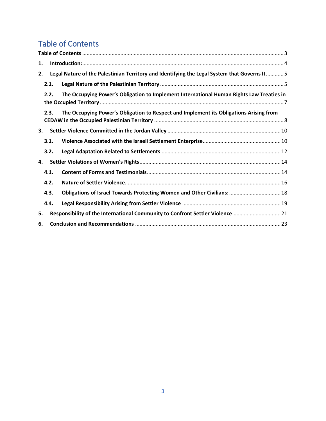# <span id="page-2-0"></span>Table of Contents

| 1.   |      |                                                                                              |  |
|------|------|----------------------------------------------------------------------------------------------|--|
| 2.   |      | Legal Nature of the Palestinian Territory and Identifying the Legal System that Governs It 5 |  |
|      | 2.1. |                                                                                              |  |
| 2.2. |      | The Occupying Power's Obligation to Implement International Human Rights Law Treaties in     |  |
|      | 2.3. | The Occupying Power's Obligation to Respect and Implement its Obligations Arising from       |  |
| 3.   |      |                                                                                              |  |
|      | 3.1. |                                                                                              |  |
|      | 3.2. |                                                                                              |  |
| 4.   |      |                                                                                              |  |
|      | 4.1. |                                                                                              |  |
|      | 4.2. |                                                                                              |  |
|      | 4.3. | Obligations of Israel Towards Protecting Women and Other Civilians:  18                      |  |
|      | 4.4. |                                                                                              |  |
| 5.   |      | Responsibility of the International Community to Confront Settler Violence 21                |  |
| 6.   |      |                                                                                              |  |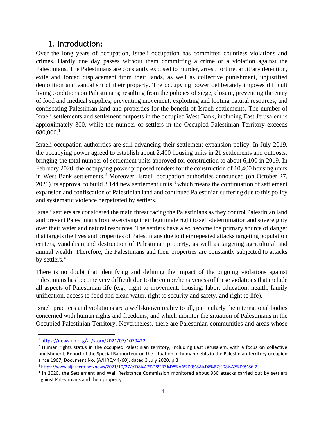## <span id="page-3-0"></span>1. Introduction:

Over the long years of occupation, Israeli occupation has committed countless violations and crimes. Hardly one day passes without them committing a crime or a violation against the Palestinians. The Palestinians are constantly exposed to murder, arrest, torture, arbitrary detention, exile and forced displacement from their lands, as well as collective punishment, unjustified demolition and vandalism of their property. The occupying power deliberately imposes difficult living conditions on Palestinians; resulting from the policies of siege, closure, preventing the entry of food and medical supplies, preventing movement, exploiting and looting natural resources, and confiscating Palestinian land and properties for the benefit of Israeli settlements, The number of Israeli settlements and settlement outposts in the occupied West Bank, including East Jerusalem is approximately 300, while the number of settlers in the Occupied Palestinian Territory exceeds 680,000. 1

Israeli occupation authorities are still advancing their settlement expansion policy. In July 2019, the occupying power agreed to establish about 2,400 housing units in 21 settlements and outposts, bringing the total number of settlement units approved for construction to about 6,100 in 2019. In February 2020, the occupying power proposed tenders for the construction of 10,400 housing units in West Bank settlements. <sup>2</sup> Moreover, Israeli occupation authorities announced (on October 27, 2021) its approval to build 3,144 new settlement units,<sup>3</sup> which means the continuation of settlement expansion and confiscation of Palestinian land and continued Palestinian suffering due to this policy and systematic violence perpetrated by settlers.

Israeli settlers are considered the main threat facing the Palestinians as they control Palestinian land and prevent Palestinians from exercising their legitimate right to self-determination and sovereignty over their water and natural resources. The settlers have also become the primary source of danger that targets the lives and properties of Palestinians due to their repeated attacks targeting population centers, vandalism and destruction of Palestinian property, as well as targeting agricultural and animal wealth. Therefore, the Palestinians and their properties are constantly subjected to attacks by settlers. 4

There is no doubt that identifying and defining the impact of the ongoing violations against Palestinians has become very difficult due to the comprehensiveness of these violations that include all aspects of Palestinian life (e.g., right to movement, housing, labor, education, health, family unification, access to food and clean water, right to security and safety, and right to life).

Israeli practices and violations are a well-known reality to all, particularly the international bodies concerned with human rights and freedoms, and which monitor the situation of Palestinians in the Occupied Palestinian Territory. Nevertheless, there are Palestinian communities and areas whose

```
3 https://www.aljazeera.net/news/2021/10/27/%D8%A7%D8%B3%D8%AA%D9%8A%D8%B7%D8%A7%D9%86-2
```
<sup>1</sup> <https://news.un.org/ar/story/2021/07/1079422>

<sup>&</sup>lt;sup>2</sup> Human rights status in the occupied Palestinian territory, including East Jerusalem, with a focus on collective punishment, Report of the Special Rapporteur on the situation of human rights in the Palestinian territory occupied since 1967, Document No. (A/HRC/44/60), dated 3 July 2020, p.3.

<sup>&</sup>lt;sup>4</sup> In 2020, the Settlement and Wall Resistance Commission monitored about 930 attacks carried out by settlers against Palestinians and their property.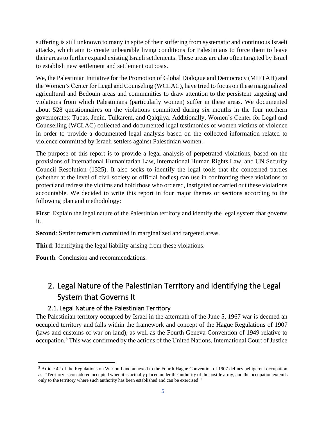suffering is still unknown to many in spite of their suffering from systematic and continuous Israeli attacks, which aim to create unbearable living conditions for Palestinians to force them to leave their areas to further expand existing Israeli settlements. These areas are also often targeted by Israel to establish new settlement and settlement outposts.

We, the Palestinian Initiative for the Promotion of Global Dialogue and Democracy (MIFTAH) and the Women's Center for Legal and Counseling (WCLAC), have tried to focus on these marginalized agricultural and Bedouin areas and communities to draw attention to the persistent targeting and violations from which Palestinians (particularly women) suffer in these areas. We documented about 528 questionnaires on the violations committed during six months in the four northern governorates: Tubas, Jenin, Tulkarem, and Qalqilya. Additionally, Women's Center for Legal and Counselling (WCLAC) collected and documented legal testimonies of women victims of violence in order to provide a documented legal analysis based on the collected information related to violence committed by Israeli settlers against Palestinian women.

The purpose of this report is to provide a legal analysis of perpetrated violations, based on the provisions of International Humanitarian Law, International Human Rights Law, and UN Security Council Resolution (1325). It also seeks to identify the legal tools that the concerned parties (whether at the level of civil society or official bodies) can use in confronting these violations to protect and redress the victims and hold those who ordered, instigated or carried out these violations accountable. We decided to write this report in four major themes or sections according to the following plan and methodology:

**First**: Explain the legal nature of the Palestinian territory and identify the legal system that governs it.

**Second:** Settler terrorism committed in marginalized and targeted areas.

**Third**: Identifying the legal liability arising from these violations.

**Fourth**: Conclusion and recommendations.

## <span id="page-4-0"></span>2. Legal Nature of the Palestinian Territory and Identifying the Legal System that Governs It

## <span id="page-4-1"></span>2.1. Legal Nature of the Palestinian Territory

The Palestinian territory occupied by Israel in the aftermath of the June 5, 1967 war is deemed an occupied territory and falls within the framework and concept of the Hague Regulations of 1907 (laws and customs of war on land), as well as the Fourth Geneva Convention of 1949 relative to occupation. <sup>5</sup> This was confirmed by the actions of the United Nations, International Court of Justice

<sup>5</sup> Article 42 of the Regulations on War on Land annexed to the Fourth Hague Convention of 1907 defines belligerent occupation as: "Territory is considered occupied when it is actually placed under the authority of the hostile army, and the occupation extends only to the territory where such authority has been established and can be exercised."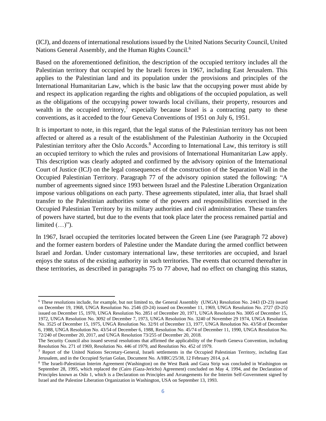(ICJ), and dozens of international resolutions issued by the United Nations Security Council, United Nations General Assembly, and the Human Rights Council.<sup>6</sup>

Based on the aforementioned definition, the description of the occupied territory includes all the Palestinian territory that occupied by the Israeli forces in 1967, including East Jerusalem. This applies to the Palestinian land and its population under the provisions and principles of the International Humanitarian Law, which is the basic law that the occupying power must abide by and respect its application regarding the rights and obligations of the occupied population, as well as the obligations of the occupying power towards local civilians, their property, resources and wealth in the occupied territory,<sup>7</sup> especially because Israel is a contracting party to these conventions, as it acceded to the four Geneva Conventions of 1951 on July 6, 1951.

It is important to note, in this regard, that the legal status of the Palestinian territory has not been affected or altered as a result of the establishment of the Palestinian Authority in the Occupied Palestinian territory after the Oslo Accords.<sup>8</sup> According to International Law, this territory is still an occupied territory to which the rules and provisions of International Humanitarian Law apply. This description was clearly adopted and confirmed by the advisory opinion of the International Court of Justice (ICJ) on the legal consequences of the construction of the Separation Wall in the Occupied Palestinian Territory. Paragraph 77 of the advisory opinion stated the following: "A number of agreements signed since 1993 between Israel and the Palestine Liberation Organization impose various obligations on each party. These agreements stipulated, inter alia, that Israel shall transfer to the Palestinian authorities some of the powers and responsibilities exercised in the Occupied Palestinian Territory by its military authorities and civil administration. These transfers of powers have started, but due to the events that took place later the process remained partial and limited  $(\ldots)$ ").

In 1967, Israel occupied the territories located between the Green Line (see Paragraph 72 above) and the former eastern borders of Palestine under the Mandate during the armed conflict between Israel and Jordan. Under customary international law, these territories are occupied, and Israel enjoys the status of the existing authority in such territories. The events that occurred thereafter in these territories, as described in paragraphs 75 to 77 above, had no effect on changing this status,

<sup>6</sup> These resolutions include, for example, but not limited to, the General Assembly (UNGA) Resolution No. 2443 (D-23) issued on December 19, 1968, UNGA Resolution No. 2546 (D-24) issued on December 11, 1969, UNGA Resolution No. 2727 (D-25) issued on December 15, 1970, UNGA Resolution No. 2851 of December 20, 1971, UNGA Resolution No. 3005 of December 15, 1972, UNGA Resolution No. 3092 of December 7, 1973, UNGA Resolution No. 3240 of November 29 1974, UNGA Resolution No. 3525 of December 15, 1975, UNGA Resolution No. 32/91 of December 13, 1977, UNGA Resolution No. 43/58 of December 6, 1988, UNGA Resolution No. 43/54 of December 6, 1988, Resolution No. 45/74 of December 11, 1990, UNGA Resolution No. 72/240 of December 20, 2017, and UNGA Resolution 73/255 of December 20, 2018.

The Security Council also issued several resolutions that affirmed the applicability of the Fourth Geneva Convention, including Resolution No. 271 of 1969, Resolution No. 446 of 1979, and Resolution No. 452 of 1979.

<sup>7</sup> Report of the United Nations Secretary-General, Israeli settlements in the Occupied Palestinian Territory, including East Jerusalem, and in the Occupied Syrian Golan, Document No. A/HRC/25/38, 12 February 2014, p.4.

<sup>8</sup> The Israeli-Palestinian Interim Agreement (Washington) on the West Bank and Gaza Strip was concluded in Washington on September 28, 1995, which replaced the (Cairo (Gaza-Jericho) Agreement) concluded on May 4, 1994, and the Declaration of Principles known as Oslo 1, which is a Declaration on Principles and Arrangements for the Interim Self-Government signed by Israel and the Palestine Liberation Organization in Washington, USA on September 13, 1993.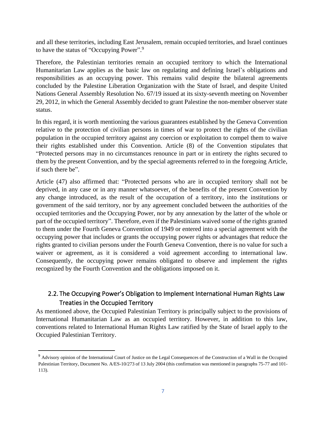and all these territories, including East Jerusalem, remain occupied territories, and Israel continues to have the status of "Occupying Power".<sup>9</sup>

Therefore, the Palestinian territories remain an occupied territory to which the International Humanitarian Law applies as the basic law on regulating and defining Israel's obligations and responsibilities as an occupying power. This remains valid despite the bilateral agreements concluded by the Palestine Liberation Organization with the State of Israel, and despite United Nations General Assembly Resolution No. 67/19 issued at its sixty-seventh meeting on November 29, 2012, in which the General Assembly decided to grant Palestine the non-member observer state status.

In this regard, it is worth mentioning the various guarantees established by the Geneva Convention relative to the protection of civilian persons in times of war to protect the rights of the civilian population in the occupied territory against any coercion or exploitation to compel them to waive their rights established under this Convention. Article (8) of the Convention stipulates that "Protected persons may in no circumstances renounce in part or in entirety the rights secured to them by the present Convention, and by the special agreements referred to in the foregoing Article, if such there be".

Article (47) also affirmed that: "Protected persons who are in occupied territory shall not be deprived, in any case or in any manner whatsoever, of the benefits of the present Convention by any change introduced, as the result of the occupation of a territory, into the institutions or government of the said territory, nor by any agreement concluded between the authorities of the occupied territories and the Occupying Power, nor by any annexation by the latter of the whole or part of the occupied territory". Therefore, even if the Palestinians waived some of the rights granted to them under the Fourth Geneva Convention of 1949 or entered into a special agreement with the occupying power that includes or grants the occupying power rights or advantages that reduce the rights granted to civilian persons under the Fourth Geneva Convention, there is no value for such a waiver or agreement, as it is considered a void agreement according to international law. Consequently, the occupying power remains obligated to observe and implement the rights recognized by the Fourth Convention and the obligations imposed on it.

## <span id="page-6-0"></span>2.2. The Occupying Power's Obligation to Implement International Human Rights Law Treaties in the Occupied Territory

As mentioned above, the Occupied Palestinian Territory is principally subject to the provisions of International Humanitarian Law as an occupied territory. However, in addition to this law, conventions related to International Human Rights Law ratified by the State of Israel apply to the Occupied Palestinian Territory.

<sup>&</sup>lt;sup>9</sup> Advisory opinion of the International Court of Justice on the Legal Consequences of the Construction of a Wall in the Occupied Palestinian Territory, Document No. A/ES-10/273 of 13 July 2004 (this confirmation was mentioned in paragraphs 75-77 and 101- 113).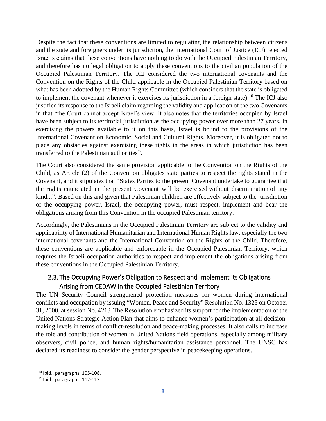Despite the fact that these conventions are limited to regulating the relationship between citizens and the state and foreigners under its jurisdiction, the International Court of Justice (ICJ) rejected Israel's claims that these conventions have nothing to do with the Occupied Palestinian Territory, and therefore has no legal obligation to apply these conventions to the civilian population of the Occupied Palestinian Territory. The ICJ considered the two international covenants and the Convention on the Rights of the Child applicable in the Occupied Palestinian Territory based on what has been adopted by the Human Rights Committee (which considers that the state is obligated to implement the covenant whenever it exercises its jurisdiction in a foreign state).<sup>10</sup> The ICJ also justified its response to the Israeli claim regarding the validity and application of the two Covenants in that "the Court cannot accept Israel's view. It also notes that the territories occupied by Israel have been subject to its territorial jurisdiction as the occupying power over more than 27 years. In exercising the powers available to it on this basis, Israel is bound to the provisions of the International Covenant on Economic, Social and Cultural Rights. Moreover, it is obligated not to place any obstacles against exercising these rights in the areas in which jurisdiction has been transferred to the Palestinian authorities".

The Court also considered the same provision applicable to the Convention on the Rights of the Child, as Article (2) of the Convention obligates state parties to respect the rights stated in the Covenant, and it stipulates that "States Parties to the present Covenant undertake to guarantee that the rights enunciated in the present Covenant will be exercised without discrimination of any kind...". Based on this and given that Palestinian children are effectively subject to the jurisdiction of the occupying power, Israel, the occupying power, must respect, implement and bear the obligations arising from this Convention in the occupied Palestinian territory.<sup>11</sup>

Accordingly, the Palestinians in the Occupied Palestinian Territory are subject to the validity and applicability of International Humanitarian and International Human Rights law, especially the two international covenants and the International Convention on the Rights of the Child. Therefore, these conventions are applicable and enforceable in the Occupied Palestinian Territory, which requires the Israeli occupation authorities to respect and implement the obligations arising from these conventions in the Occupied Palestinian Territory.

## <span id="page-7-0"></span>2.3. The Occupying Power's Obligation to Respect and Implement its Obligations Arising from CEDAW in the Occupied Palestinian Territory

The UN Security Council strengthened protection measures for women during international conflicts and occupation by issuing "Women, Peace and Security" Resolution No. 1325 on October 31, 2000, at session No. 4213. The Resolution emphasized its support for the implementation of the United Nations Strategic Action Plan that aims to enhance women's participation at all decisionmaking levels in terms of conflict-resolution and peace-making processes. It also calls to increase the role and contribution of women in United Nations field operations, especially among military observers, civil police, and human rights/humanitarian assistance personnel. The UNSC has declared its readiness to consider the gender perspective in peacekeeping operations.

 $10$  Ibid., paragraphs.  $105-108$ .

<sup>11</sup> Ibid., paragraphs. 112-113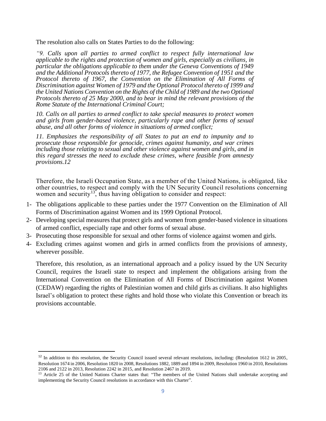The resolution also calls on States Parties to do the following:

*"9. Calls upon all parties to armed conflict to respect fully international law applicable to the rights and protection of women and girls, especially as civilians, in particular the obligations applicable to them under the Geneva Conventions of 1949 and the Additional Protocols thereto of 1977, the Refugee Convention of 1951 and the Protocol thereto of 1967, the Convention on the Elimination of All Forms of Discrimination against Women of 1979 and the Optional Protocol thereto of 1999 and the United Nations Convention on the Rights of the Child of 1989 and the two Optional Protocols thereto of 25 May 2000, and to bear in mind the relevant provisions of the Rome Statute of the International Criminal Court;*

*10. Calls on all parties to armed conflict to take special measures to protect women and girls from gender-based violence, particularly rape and other forms of sexual abuse, and all other forms of violence in situations of armed conflict;*

*11. Emphasizes the responsibility of all States to put an end to impunity and to prosecute those responsible for genocide, crimes against humanity, and war crimes including those relating to sexual and other violence against women and girls, and in this regard stresses the need to exclude these crimes, where feasible from amnesty provisions.12*

Therefore, the Israeli Occupation State, as a member of the United Nations, is obligated, like other countries, to respect and comply with the UN Security Council resolutions concerning women and security<sup>13</sup>, thus having obligation to consider and respect:

- 1- The obligations applicable to these parties under the 1977 Convention on the Elimination of All Forms of Discrimination against Women and its 1999 Optional Protocol.
- 2- Developing special measures that protect girls and women from gender-based violence in situations of armed conflict, especially rape and other forms of sexual abuse.
- 3- Prosecuting those responsible for sexual and other forms of violence against women and girls.
- 4- Excluding crimes against women and girls in armed conflicts from the provisions of amnesty, wherever possible.

Therefore, this resolution, as an international approach and a policy issued by the UN Security Council, requires the Israeli state to respect and implement the obligations arising from the International Convention on the Elimination of All Forms of Discrimination against Women (CEDAW) regarding the rights of Palestinian women and child girls as civilians. It also highlights Israel's obligation to protect these rights and hold those who violate this Convention or breach its provisions accountable.

<sup>&</sup>lt;sup>12</sup> In addition to this resolution, the Security Council issued several relevant resolutions, including: (Resolution 1612 in 2005, Resolution 1674 in 2006, Resolution 1820 in 2008, Resolutions 1882, 1889 and 1894 in 2009, Resolution 1960 in 2010, Resolutions 2106 and 2122 in 2013, Resolution 2242 in 2015, and Resolution 2467 in 2019.

<sup>&</sup>lt;sup>13</sup> Article 25 of the United Nations Charter states that: "The members of the United Nations shall undertake accepting and implementing the Security Council resolutions in accordance with this Charter".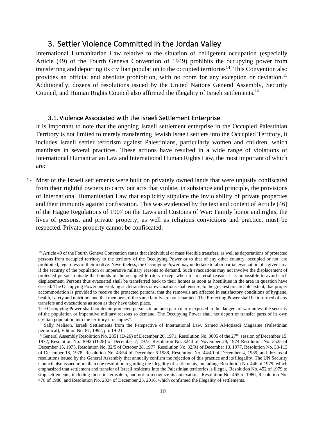## <span id="page-9-0"></span>3. Settler Violence Committed in the Jordan Valley

International Humanitarian Law relative to the situation of belligerent occupation (especially Article (49) of the Fourth Geneva Convention of 1949) prohibits the occupying power from transferring and deporting its civilian population to the occupied territories<sup>14</sup>. This Convention also provides an official and absolute prohibition, with no room for any exception or deviation.<sup>15</sup> Additionally, dozens of resolutions issued by the United Nations General Assembly, Security Council, and Human Rights Council also affirmed the illegality of Israeli settlements.<sup>16</sup>

#### <span id="page-9-1"></span>3.1. Violence Associated with the Israeli Settlement Enterprise

It is important to note that the ongoing Israeli settlement enterprise in the Occupied Palestinian Territory is not limited to merely transferring Jewish Israeli settlers into the Occupied Territory, it includes Israeli settler terrorism against Palestinians, particularly women and children, which manifests in several practices. These actions have resulted in a wide range of violations of International Humanitarian Law and International Human Rights Law, the most important of which are:

1- Most of the Israeli settlements were built on privately owned lands that were unjustly confiscated from their rightful owners to carry out acts that violate, in substance and principle, the provisions of International Humanitarian Law that explicitly stipulate the inviolability of private properties and their immunity against confiscation. This was evidenced by the text and content of Article (46) of the Hague Regulations of 1907 on the Laws and Customs of War: Family honor and rights, the lives of persons, and private property, as well as religious convictions and practice, must be respected. Private property cannot be confiscated.

<sup>&</sup>lt;sup>14</sup> Article 49 of the Fourth Geneva Convention states that (Individual or mass forcible transfers, as well as deportations of protected persons from occupied territory to the territory of the Occupying Power or to that of any other country, occupied or not, are prohibited, regardless of their motive. Nevertheless, the Occupying Power may undertake total or partial evacuation of a given area if the security of the population or imperative military reasons so demand. Such evacuations may not involve the displacement of protected persons outside the bounds of the occupied territory except when for material reasons it is impossible to avoid such displacement. Persons thus evacuated shall be transferred back to their homes as soon as hostilities in the area in question have ceased. The Occupying Power undertaking such transfers or evacuations shall ensure, to the greatest practicable extent, that proper accommodation is provided to receive the protected persons, that the removals are affected in satisfactory conditions of hygiene, health, safety and nutrition, and that members of the same family are not separated. The Protecting Power shall be informed of any transfers and evacuations as soon as they have taken place.

The Occupying Power shall not detain protected persons in an area particularly exposed to the dangers of war unless the security of the population or imperative military reasons so demand. The Occupying Power shall not deport or transfer parts of its own civilian population into the territory it occupies".

<sup>&</sup>lt;sup>15</sup> Sally Malison. Israeli Settlements from the Perspective of International Law. Samed Al-Iqtisadi Magazine (Palestinian periodical), Edition No. 87, 1992, pp. 19-21.

<sup>&</sup>lt;sup>16</sup> General Assembly Resolution No. 2851 (D-26) of December 20, 1971, Resolution No. 3005 of the 27<sup>th</sup> session of December 15, 1972, Resolution No. 3092 (D-28) of December 7, 1973, Resolution No. 3240 of November 29, 1974 Resolution No. 3525 of December 15, 1975, Resolution No. 32/5 of October 28, 1977, Resolution No. 32/91 of December 13, 1977, Resolution No. 33/113 of December 18, 1978, Resolution No. 43/54 of December 6 1988, Resolution No. 44/40 of December 4, 1989, and dozens of resolutions issued by the General Assembly that annually confirm the rejection of this practice and its illegality. The UN Security Council also issued more than one resolution regarding the illegality of settlements, including: Resolution No. 446 of 1979, which emphasized that settlement and transfer of Israeli residents into the Palestinian territories is illegal, Resolution No. 452 of 1979 to stop settlements, including those in Jerusalem, and not to recognize its annexation, Resolution No. 465 of 1980, Resolution No. 478 of 1980, and Resolution No. 2334 of December 23, 2016, which confirmed the illegality of settlements.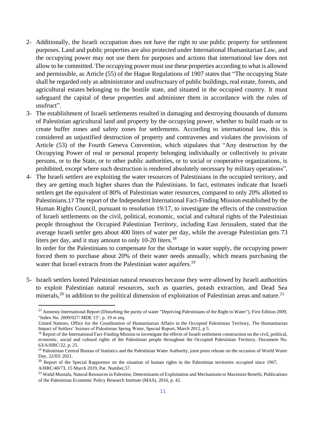- 2- Additionally, the Israeli occupation does not have the right to use public property for settlement purposes. Land and public properties are also protected under International Humanitarian Law, and the occupying power may not use them for purposes and actions that international law does not allow to be committed. The occupying power must use these properties according to what is allowed and permissible, as Article (55) of the Hague Regulations of 1907 states that "The occupying State shall be regarded only as administrator and usufructuary of public buildings, real estate, forests, and agricultural estates belonging to the hostile state, and situated in the occupied country. It must safeguard the capital of these properties and administer them in accordance with the rules of usufruct".
- 3- The establishment of Israeli settlements resulted in damaging and destroying thousands of dunums of Palestinian agricultural land and property by the occupying power, whether to build roads or to create buffer zones and safety zones for settlements. According to international law, this is considered an unjustified destruction of property and contravenes and violates the provisions of Article (53) of the Fourth Geneva Convention, which stipulates that "Any destruction by the Occupying Power of real or personal property belonging individually or collectively to private persons, or to the State, or to other public authorities, or to social or cooperative organizations, is prohibited, except where such destruction is rendered absolutely necessary by military operations".
- 4- The Israeli settlers are exploiting the water resources of Palestinians in the occupied territory, and they are getting much higher shares than the Palestinians. In fact, estimates indicate that Israeli settlers get the equivalent of 80% of Palestinian water resources, compared to only 20% allotted to Palestinians.17 The report of the Independent International Fact-Finding Mission established by the Human Rights Council, pursuant to resolution 19/17, to investigate the effects of the construction of Israeli settlements on the civil, political, economic, social and cultural rights of the Palestinian people throughout the Occupied Palestinian Territory, including East Jerusalem, stated that the average Israeli settler gets about 400 liters of water per day, while the average Palestinian gets 73 liters per day, and it may amount to only  $10\n-20$  liters.<sup>18</sup>

In order for the Palestinians to compensate for the shortage in water supply, the occupying power forced them to purchase about 20% of their water needs annually, which means purchasing the water that Israel extracts from the Palestinian water aquifers.<sup>19</sup>

5- Israeli settlers looted Palestinian natural resources because they were allowed by Israeli authorities to exploit Palestinian natural resources, such as quarries, potash extraction, and Dead Sea minerals,<sup>20</sup> in addition to the political dimension of exploitation of Palestinian areas and nature.<sup>21</sup>

<sup>&</sup>lt;sup>17</sup> Amnesty International Report (Disturbing the purity of water "Depriving Palestinians of the Right to Water"), First Edition 2009, "Index No. 2009/027/ MDE 15", p. 19 et seq.

United Nations, Office for the Coordination of Humanitarian Affairs in the Occupied Palestinian Territory, The Humanitarian Impact of Settlers' Seizure of Palestinian Spring Water, Special Report, March 2012, p 5.

<sup>&</sup>lt;sup>18</sup> Report of the International Fact-Finding Mission to investigate the effects of Israeli settlement construction on the civil, political, economic, social and cultural rights of the Palestinian people throughout the Occupied Palestinian Territory, Document No. 63/A/HRC/22, p. 25.

<sup>&</sup>lt;sup>19</sup> Palestinian Central Bureau of Statistics and the Palestinian Water Authority, joint press release on the occasion of World Water Day, 22/03/ 2021.

<sup>&</sup>lt;sup>20</sup> Report of the Special Rapporteur on the situation of human rights in the Palestinian territories occupied since 1967, A/HRC/40/73, 15 March 2019, Par. Number,57 .

<sup>&</sup>lt;sup>21</sup> Walid Mustafa, Natural Resources in Palestine, Determinants of Exploitation and Mechanisms to Maximize Benefit, Publications of the Palestinian Economic Policy Research Institute (MAS), 2016, p. 42.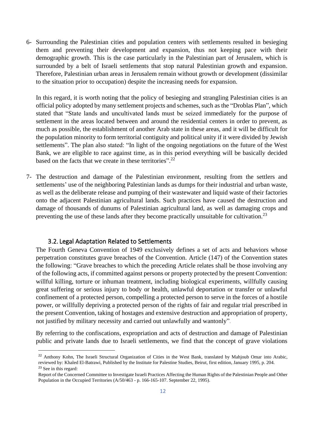6- Surrounding the Palestinian cities and population centers with settlements resulted in besieging them and preventing their development and expansion, thus not keeping pace with their demographic growth. This is the case particularly in the Palestinian part of Jerusalem, which is surrounded by a belt of Israeli settlements that stop natural Palestinian growth and expansion. Therefore, Palestinian urban areas in Jerusalem remain without growth or development (dissimilar to the situation prior to occupation) despite the increasing needs for expansion.

In this regard, it is worth noting that the policy of besieging and strangling Palestinian cities is an official policy adopted by many settlement projects and schemes, such as the "Droblas Plan", which stated that "State lands and uncultivated lands must be seized immediately for the purpose of settlement in the areas located between and around the residential centers in order to prevent, as much as possible, the establishment of another Arab state in these areas, and it will be difficult for the population minority to form territorial contiguity and political unity if it were divided by Jewish settlements". The plan also stated: "In light of the ongoing negotiations on the future of the West Bank, we are eligible to race against time, as in this period everything will be basically decided based on the facts that we create in these territories".<sup>22</sup>

7- The destruction and damage of the Palestinian environment, resulting from the settlers and settlements' use of the neighboring Palestinian lands as dumps for their industrial and urban waste, as well as the deliberate release and pumping of their wastewater and liquid waste of their factories onto the adjacent Palestinian agricultural lands. Such practices have caused the destruction and damage of thousands of dunums of Palestinian agricultural land, as well as damaging crops and preventing the use of these lands after they become practically unsuitable for cultivation.<sup>23</sup>

#### 3.2. Legal Adaptation Related to Settlements

<span id="page-11-0"></span>The Fourth Geneva Convention of 1949 exclusively defines a set of acts and behaviors whose perpetration constitutes grave breaches of the Convention. Article (147) of the Convention states the following: "Grave breaches to which the preceding Article relates shall be those involving any of the following acts, if committed against persons or property protected by the present Convention: willful killing, torture or inhuman treatment, including biological experiments, willfully causing great suffering or serious injury to body or health, unlawful deportation or transfer or unlawful confinement of a protected person, compelling a protected person to serve in the forces of a hostile power, or willfully depriving a protected person of the rights of fair and regular trial prescribed in the present Convention, taking of hostages and extensive destruction and appropriation of property, not justified by military necessity and carried out unlawfully and wantonly".

By referring to the confiscations, expropriation and acts of destruction and damage of Palestinian public and private lands due to Israeli settlements, we find that the concept of grave violations

<sup>&</sup>lt;sup>22</sup> Anthony Kohn, The Israeli Structural Organization of Cities in the West Bank, translated by Mahjoub Omar into Arabic, reviewed by: Khaled El-Batrawi, Published by the Institute for Palestine Studies, Beirut, first edition, January 1995, p. 204. <sup>23</sup> See in this regard:

Report of the Concerned Committee to Investigate Israeli Practices Affecting the Human Rights of the Palestinian People and Other Population in the Occupied Territories (A/50/463 - p. 166-165-107. September 22, 1995).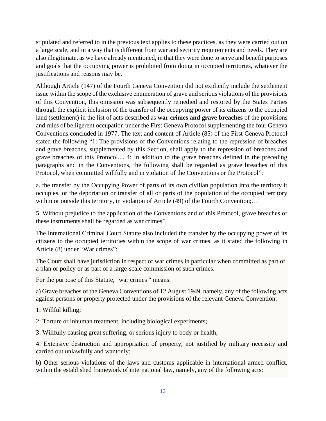stipulated and referred to in the previous text applies to these practices, as they were carried out on a large scale, and in a way that is different from war and security requirements and needs. They are also illegitimate, as we have already mentioned, in that they were done to serve and benefit purposes and goals that the occupying power is prohibited from doing in occupied territories, whatever the justifications and reasons may be.

Although Article (147) of the Fourth Geneva Convention did not explicitly include the settlement issue within the scope of the exclusive enumeration of grave and serious violations of the provisions of this Convention, this omission was subsequently remedied and restored by the States Parties through the explicit inclusion of the transfer of the occupying power of its citizens to the occupied land (settlement) in the list of acts described as **war crimes and grave breaches** of the provisions and rules of belligerent occupation under the First Geneva Protocol supplementing the four Geneva Conventions concluded in 1977. The text and content of Article (85) of the First Geneva Protocol stated the following "1: The provisions of the Conventions relating to the repression of breaches and grave breaches, supplemented by this Section, shall apply to the repression of breaches and grave breaches of this Protocol.... 4: In addition to the grave breaches defined in the preceding paragraphs and in the Conventions, the following shall be regarded as grave breaches of this Protocol, when committed willfully and in violation of the Conventions or the Protocol":

a. the transfer by the Occupying Power of parts of its own civilian population into the territory it occupies, or the deportation or transfer of all or parts of the population of the occupied territory within [o](javascript:openLink()r outside this territory, in violation of Article (49) of the Fourth Convention;...

5. Without prejudice to the application of the Conventions and of this Protocol, grave breaches of these instruments shall be regarded as war crimes".

The International Criminal Court Statute also included the transfer by the occupying power of its citizens to the occupied territories within the scope of war crimes, as it stated the following in Article (8) under "War crimes":

The Court shall have jurisdiction in respect of war crimes in particular when committed as part of a plan or policy or as part of a large-scale commission of such crimes.

For the purpose of this Statute, "war crimes " means:

a) Grave breaches of the Geneva Conventions of 12 August 1949, namely, any of the following acts against persons or property protected under the provisions of the relevant Geneva Convention:

- 1: Willful killing;
- 2: Torture or inhuman treatment, including biological experiments;
- 3: Willfully causing great suffering, or serious injury to body or health;

4: Extensive destruction and appropriation of property, not justified by military necessity and carried out unlawfully and wantonly;

b) Other serious violations of the laws and customs applicable in international armed conflict, within the established framework of international law, namely, any of the following acts: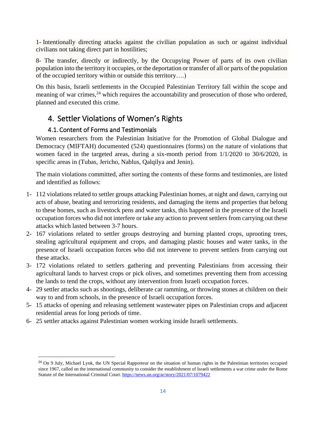1- Intentionally directing attacks against the civilian population as such or against individual civilians not taking direct part in hostilities;

8- The transfer, directly or indirectly, by the Occupying Power of parts of its own civilian population into the territory it occupies, or the deportation or transfer of all or parts of the population of the occupied territory within or outside this territory….)

On this basis, Israeli settlements in the Occupied Palestinian Territory fall within the scope and meaning of war crimes,  $24$  which requires the accountability and prosecution of those who ordered, planned and executed this crime.

## <span id="page-13-0"></span>4. Settler Violations of Women's Rights

## <span id="page-13-1"></span>4.1. Content of Forms and Testimonials

Women researchers from the Palestinian Initiative for the Promotion of Global Dialogue and Democracy (MIFTAH) documented (524) questionnaires (forms) on the nature of violations that women faced in the targeted areas, during a six-month period from 1/1/2020 to 30/6/2020, in specific areas in (Tubas, Jericho, Nablus, Qalqilya and Jenin).

The main violations committed, after sorting the contents of these forms and testimonies, are listed and identified as follows:

- 1- 112 violations related to settler groups attacking Palestinian homes, at night and dawn, carrying out acts of abuse, beating and terrorizing residents, and damaging the items and properties that belong to these homes, such as livestock pens and water tanks, this happened in the presence of the Israeli occupation forces who did not interfere or take any action to prevent settlers from carrying out these attacks which lasted between 3-7 hours.
- 2- 167 violations related to settler groups destroying and burning planted crops, uprooting trees, stealing agricultural equipment and crops, and damaging plastic houses and water tanks, in the presence of Israeli occupation forces who did not intervene to prevent settlers from carrying out these attacks.
- 3- 172 violations related to settlers gathering and preventing Palestinians from accessing their agricultural lands to harvest crops or pick olives, and sometimes preventing them from accessing the lands to tend the crops, without any intervention from Israeli occupation forces.
- 4- 29 settler attacks such as shootings, deliberate car ramming, or throwing stones at children on their way to and from schools, in the presence of Israeli occupation forces.
- 5- 15 attacks of opening and releasing settlement wastewater pipes on Palestinian crops and adjacent residential areas for long periods of time.
- 6- 25 settler attacks against Palestinian women working inside Israeli settlements.

<sup>&</sup>lt;sup>24</sup> On 9 July, Michael Lynk, the UN Special Rapporteur on the situation of human rights in the Palestinian territories occupied since 1967, called on the international community to consider the establishment of Israeli settlements a war crime under the Rome Statute of the International Criminal Court. <https://news.un.org/ar/story/2021/07/1079422>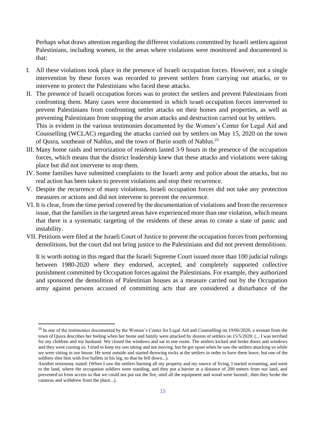Perhaps what draws attention regarding the different violations committed by Israeli settlers against Palestinians, including women, in the areas where violations were monitored and documented is that:

- I. All these violations took place in the presence of Israeli occupation forces. However, not a single intervention by these forces was recorded to prevent settlers from carrying out attacks, or to intervene to protect the Palestinians who faced these attacks.
- II. The presence of Israeli occupation forces was to protect the settlers and prevent Palestinians from confronting them. Many cases were documented in which Israeli occupation forces intervened to prevent Palestinians from confronting settler attacks on their homes and properties, as well as preventing Palestinians from stopping the arson attacks and destruction carried out by settlers. This is evident in the various testimonies documented by the Women's Center for Legal Aid and

Counselling (WCLAC) regarding the attacks carried out by settlers on May 15, 2020 on the town of Qusra, southeast of Nablus, and the town of Burin south of Nablus. 25

- III. Many home raids and terrorization of residents lasted 3-9 hours in the presence of the occupation forces, which means that the district leadership knew that these attacks and violations were taking place but did not intervene to stop them.
- IV. Some families have submitted complaints to the Israeli army and police about the attacks, but no real action has been taken to prevent violations and stop their recurrence.
- V. Despite the recurrence of many violations, Israeli occupation forces did not take any protection measures or actions and did not intervene to prevent the recurrence.
- VI. It is clear, from the time period covered by the documentation of violations and from the recurrence issue, that the families in the targeted areas have experienced more than one violation, which means that there is a systematic targeting of the residents of these areas to create a state of panic and instability.
- VII. Petitions were filed at the Israeli Court of Justice to prevent the occupation forces from performing demolitions, but the court did not bring justice to the Palestinians and did not prevent demolitions.

It is worth noting in this regard that the Israeli Supreme Court issued more than 100 judicial rulings between 1980-2020 where they endorsed, accepted, and completely supported collective punishment committed by Occupation forces against the Palestinians. For example, they authorized and sponsored the demolition of Palestinian houses as a measure carried out by the Occupation army against persons accused of committing acts that are considered a disturbance of the

<sup>&</sup>lt;sup>25</sup> In one of the testimonies documented by the Women's Center for Legal Aid and Counselling on 19/06/2020, a woman from the town of Qusra describes her feeling when her home and family were attacked by dozens of settlers on 15/5/2020: (... I was terrified for my children and my husband. We closed the windows and sat in one room. The settlers kicked and broke doors and windows and they were cursing us. I tried to keep my son sitting and not moving, but he got upset when he saw the settlers attacking us while we were sitting in our house. He went outside and started throwing rocks at the settlers in order to have them leave, but one of the soldiers shot him with live bullets in his leg, so that he fell down...).

Another testimony stated: (When I saw the settlers burning all my property and my source of living, I started screaming, and went to the land, where the occupation soldiers were standing, and they put a barrier at a distance of 200 meters from our land, and prevented us from access so that we could not put out the fire, until all the equipment and wood were burned., then they broke the cameras and withdrew from the place...).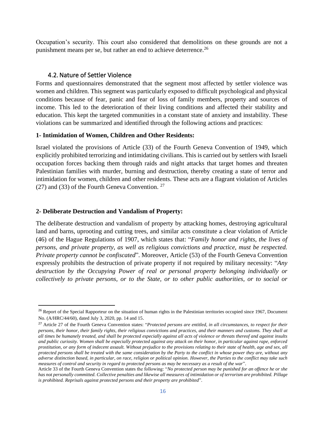Occupation's security. This court also considered that demolitions on these grounds are not a punishment means per se, but rather an end to achieve deterrence.<sup>26</sup>

#### 4.2.Nature of Settler Violence

<span id="page-15-0"></span>Forms and questionnaires demonstrated that the segment most affected by settler violence was women and children. This segment was particularly exposed to difficult psychological and physical conditions because of fear, panic and fear of loss of family members, property and sources of income. This led to the deterioration of their living conditions and affected their stability and education. This kept the targeted communities in a constant state of anxiety and instability. These violations can be summarized and identified through the following actions and practices:

#### **1- Intimidation of Women, Children and Other Residents:**

Israel violated the provisions of Article (33) of the Fourth Geneva Convention of 1949, which explicitly prohibited terrorizing and intimidating civilians. This is carried out by settlers with Israeli occupation forces backing them through raids and night attacks that target homes and threaten Palestinian families with murder, burning and destruction, thereby creating a state of terror and intimidation for women, children and other residents. These acts are a flagrant violation of Articles (27) and (33) of the Fourth Geneva Convention.  $27$ 

#### **2- Deliberate Destruction and Vandalism of Property:**

The deliberate destruction and vandalism of property by attacking homes, destroying agricultural land and barns, uprooting and cutting trees, and similar acts constitute a clear violation of Article (46) of the Hague Regulations of 1907, which states that: "*Family honor and rights, the lives of persons, and private property, as well as religious convictions and practice, must be respected. Private property cannot be confiscated*". Moreover, Article (53) of the Fourth Geneva Convention expressly prohibits the destruction of private property if not required by military necessity: "*Any destruction by the Occupying Power of real or personal property belonging individually or collectively to private persons, or to the State, or to other public authorities, or to social or* 

<sup>&</sup>lt;sup>26</sup> Report of the Special Rapporteur on the situation of human rights in the Palestinian territories occupied since 1967, Document No. (A/HRC/44/60), dated July 3, 2020, pp. 14 and 15.

<sup>27</sup> Article 27 of the Fourth Geneva Convention states: "*Protected persons are entitled, in all circumstances, to respect for their persons, their honor, their family rights, their religious convictions and practices, and their manners and customs. They shall at all times be humanely treated, and shall be protected especially against all acts of violence or threats thereof and against insults and public curiosity. Women shall be especially protected against any attack on their honor, in particular against rape, enforced prostitution, or any form of indecent assault. Without prejudice to the provisions relating to their state of health, age and sex, all protected persons shall be treated with the same consideration by the Party to the conflict in whose power they are, without any adverse distinction based, in particular, on race, religion or political opinion. However, the Parties to the conflict may take such measures of control and security in regard to protected persons as may be necessary as a result of the war*".

Article 33 of the Fourth Geneva Convention states the following: "*No protected person may be punished for an offence he or she has not personally committed. Collective penalties and likewise all measures of intimidation or of terrorism are prohibited. Pillage is prohibited. Reprisals against protected persons and their property are prohibited*".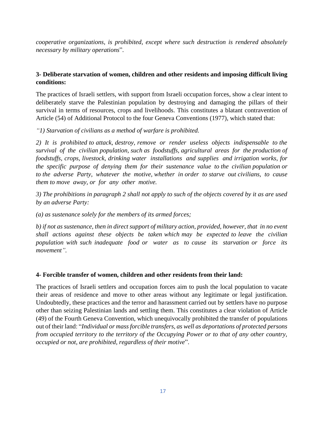*cooperative organizations, is prohibited, except where such destruction is rendered absolutely necessary by military operations*".

### **3- Deliberate starvation of women, children and other residents and imposing difficult living conditions:**

The practices of Israeli settlers, with support from Israeli occupation forces, show a clear intent to deliberately starve the Palestinian population by destroying and damaging the pillars of their survival in terms of resources, crops and livelihoods. This constitutes a blatant contravention of Article (54) of Additional Protocol to the four Geneva Conventions (1977), which stated that:

*"1) Starvation of civilians as a method of warfare is prohibited.*

*2) It is prohibited to attack, destroy, remove or render useless objects indispensable to the survival of the civilian population, such as foodstuffs, agricultural areas for the production of foodstuffs, crops, livestock, drinking water installations and supplies and irrigation works, for the specific purpose of denying them for their sustenance value to the civilian population or to the adverse Party, whatever the motive, whether in order to starve out civilians, to cause them to move away, or for any other motive.*

*3) The prohibitions in paragraph 2 shall not apply to such of the objects covered by it as are used by an adverse Party:* 

*(a) as sustenance solely for the members of its armed forces;* 

*b) if not as sustenance, then in direct support of military action, provided, however, that in no event shall actions against these objects be taken which may be expected to leave the civilian population with such inadequate food or water as to cause its starvation or force its movement".*

#### **4- Forcible transfer of women, children and other residents from their land:**

The practices of Israeli settlers and occupation forces aim to push the local population to vacate their areas of residence and move to other areas without any legitimate or legal justification. Undoubtedly, these practices and the terror and harassment carried out by settlers have no purpose other than seizing Palestinian lands and settling them. This constitutes a clear violation of Article (49) of the Fourth Geneva Convention, which unequivocally prohibited the transfer of populations out of their land: "*Individual or mass forcible transfers, as well as deportations of protected persons from occupied territory to the territory of the Occupying Power or to that of any other country, occupied or not, are prohibited, regardless of their motive*".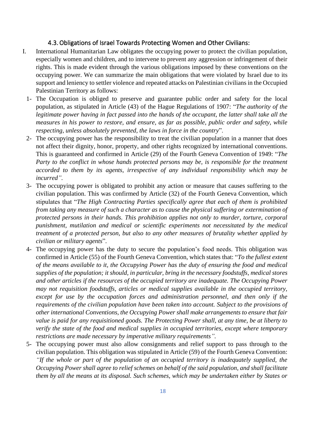### <span id="page-17-0"></span>4.3.Obligations of Israel Towards Protecting Women and Other Civilians:

- I. International Humanitarian Law obligates the occupying power to protect the civilian population, especially women and children, and to intervene to prevent any aggression or infringement of their rights. This is made evident through the various obligations imposed by these conventions on the occupying power. We can summarize the main obligations that were violated by Israel due to its support and leniency to settler violence and repeated attacks on Palestinian civilians in the Occupied Palestinian Territory as follows:
	- 1- The Occupation is obliged to preserve and guarantee public order and safety for the local population, as stipulated in Article (43) of the Hague Regulations of 1907: "*The authority of the legitimate power having in fact passed into the hands of the occupant, the latter shall take all the measures in his power to restore, and ensure, as far as possible, public order and safety, while respecting, unless absolutely prevented, the laws in force in the country*".
	- 2- The occupying power has the responsibility to treat the civilian population in a manner that does not affect their dignity, honor, property, and other rights recognized by international conventions. This is guaranteed and confirmed in Article (29) of the Fourth Geneva Convention of 1949: "*The Party to the conflict in whose hands protected persons may be, is responsible for the treatment accorded to them by its agents, irrespective of any individual responsibility which may be incurred".*
	- 3- The occupying power is obligated to prohibit any action or measure that causes suffering to the civilian population. This was confirmed by Article (32) of the Fourth Geneva Convention, which stipulates that "*The High Contracting Parties specifically agree that each of them is prohibited from taking any measure of such a character as to cause the physical suffering or extermination of protected persons in their hands. This prohibition applies not only to murder, torture, corporal punishment, mutilation and medical or scientific experiments not necessitated by the medical treatment of a protected person, but also to any other measures of brutality whether applied by civilian or military agents*".
	- 4- The occupying power has the duty to secure the population's food needs. This obligation was confirmed in Article (55) of the Fourth Geneva Convention, which states that: "*To the fullest extent of the means available to it, the Occupying Power has the duty of ensuring the food and medical supplies of the population; it should, in particular, bring in the necessary foodstuffs, medical stores and other articles if the resources of the occupied territory are inadequate. The Occupying Power may not requisition foodstuffs, articles or medical supplies available in the occupied territory, except for use by the occupation forces and administration personnel, and then only if the requirements of the civilian population have been taken into account. Subject to the provisions of other international Conventions, the Occupying Power shall make arrangements to ensure that fair value is paid for any requisitioned goods. The Protecting Power shall, at any time, be at liberty to verify the state of the food and medical supplies in occupied territories, except where temporary restrictions are made necessary by imperative military requirements".*
	- 5- The occupying power must also allow consignments and relief support to pass through to the civilian population. This obligation was stipulated in Article (59) of the Fourth Geneva Convention: *"If the whole or part of the population of an occupied territory is inadequately supplied, the Occupying Power shall agree to relief schemes on behalf of the said population, and shall facilitate them by all the means at its disposal. Such schemes, which may be undertaken either by States or*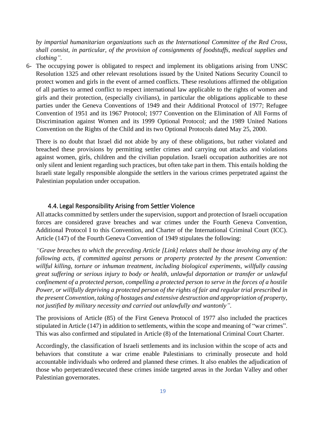*by impartial humanitarian organizations such as the International Committee of the Red Cross, shall consist, in particular, of the provision of consignments of foodstuffs, medical supplies and clothing".*

6- The occupying power is obligated to respect and implement its obligations arising from UNSC Resolution 1325 and other relevant resolutions issued by the United Nations Security Council to protect women and girls in the event of armed conflicts. These resolutions affirmed the obligation of all parties to armed conflict to respect international law applicable to the rights of women and girls and their protection, (especially civilians), in particular the obligations applicable to these parties under the Geneva Conventions of 1949 and their Additional Protocol of 1977; Refugee Convention of 1951 and its 1967 Protocol; 1977 Convention on the Elimination of All Forms of Discrimination against Women and its 1999 Optional Protocol; and the 1989 United Nations Convention on the Rights of the Child and its two Optional Protocols dated May 25, 2000.

There is no doubt that Israel did not abide by any of these obligations, but rather violated and breached these provisions by permitting settler crimes and carrying out attacks and violations against women, girls, children and the civilian population. Israeli occupation authorities are not only silent and lenient regarding such practices, but often take part in them. This entails holding the Israeli state legally responsible alongside the settlers in the various crimes perpetrated against the Palestinian population under occupation.

#### 4.4. Legal Responsibility Arising from Settler Violence

<span id="page-18-0"></span>All attacks committed by settlers under the supervision, support and protection of Israeli occupation forces are considered grave breaches and war crimes under the Fourth Geneva Convention, Additional Protocol I to this Convention, and Charter of the International Criminal Court (ICC). Article (147) of the Fourth Geneva Convention of 1949 stipulates the following:

*"Grave breaches to which the preceding Article [\[Link\]](javascript:openLink() relates shall be those involving any of the following acts, if committed against persons or property protected by the present Convention: willful killing, torture or inhuman treatment, including biological experiments, willfully causing great suffering or serious injury to body or health, unlawful deportation or transfer or unlawful confinement of a protected person, compelling a protected person to serve in the forces of a hostile Power, or willfully depriving a protected person of the rights of fair and regular trial prescribed in the present Convention, taking of hostages and extensive destruction and appropriation of property, not justified by military necessity and carried out unlawfully and wantonly".*

The provisions of Article (85) of the First Geneva Protocol of 1977 also included the practices stipulated in Article (147) in addition to settlements, within the scope and meaning of "war crimes". This was also confirmed and stipulated in Article (8) of the International Criminal Court Charter.

Accordingly, the classification of Israeli settlements and its inclusion within the scope of acts and behaviors that constitute a war crime enable Palestinians to criminally prosecute and hold accountable individuals who ordered and planned these crimes. It also enables the adjudication of those who perpetrated/executed these crimes inside targeted areas in the Jordan Valley and other Palestinian governorates.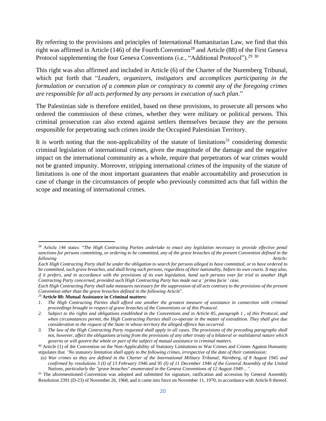By referring to the provisions and principles of International Humanitarian Law, we find that this right was affirmed in Article (146) of the Fourth Convention<sup>28</sup> and Article (88) of the First Geneva Protocol supplementing the four Geneva Conventions (i.e., "Additional Protocol").<sup>29</sup> 30

This right was also affirmed and included in Article (6) of the Charter of the Nuremberg Tribunal, which put forth that "*Leaders, organizers, instigators and accomplices participating in the formulation or execution of a common plan or conspiracy to commit any of the foregoing crimes are responsible for all acts performed by any persons in execution of such plan*."

The Palestinian side is therefore entitled, based on these provisions, to prosecute all persons who ordered the commission of these crimes, whether they were military or political persons. This criminal prosecution can also extend against settlers themselves because they are the persons responsible for perpetrating such crimes inside the Occupied Palestinian Territory.

It is worth noting that the non-applicability of the statute of limitations<sup>31</sup> considering domestic criminal legislation of international crimes, given the magnitude of the damage and the negative impact on the international community as a whole, require that perpetrators of war crimes would not be granted impunity. Moreover, stripping international crimes of the impunity of the statute of limitations is one of the most important guarantees that enable accountability and prosecution in case of change in the circumstances of people who previously committed acts that fall within the scope and meaning of international crimes.

*Each High Contracting Party shall take measures necessary for the suppression of all acts contrary to the provisions of the present Convention other than the grave breaches defined in the following Article*".

#### <sup>29</sup> **Article 88: Mutual Assistance in Criminal matters:**

<sup>28</sup> Article 146 states: "*The High Contracting Parties undertake to enact any legislation necessary to provide effective penal sanctions for persons committing, or ordering to be committed, any of the grave breaches of the present Convention defined in the following Article:*

*Each High Contracting Party shall be under the obligation to search for persons alleged to have committed, or to have ordered to be committed, such grave breaches, and shall bring such persons, regardless of their nationality, before its own courts. It may also, if it prefers, and in accordance with the provisions of its own legislation, hand such persons over for trial to another High Contracting Party concerned, provided such High Contracting Party has made out a ' prima facie ' case.*

*<sup>1.</sup> The High Contracting Parties shall afford one another the greatest measure of assistance in connection with criminal proceedings brought in respect of grave breaches of the Conventions or of this Protocol.*

*<sup>2.</sup> Subject to the rights and obligations established in the Conventions and in Article 85, paragraph [1](javascript:openLink() , of this Protocol, and when circumstances permit, the High Contracting Parties shall co-operate in the matter of extradition. They shall give due consideration to the request of the State in whose territory the alleged offence has occurred.*

*<sup>3.</sup> The law of the High Contracting Party requested shall apply in all cases. The provisions of the preceding paragraphs shall not, however, affect the obligations arising from the provisions of any other treaty of a bilateral or multilateral nature which governs or will govern the whole or part of the subject of mutual assistance in criminal matters.*

<sup>&</sup>lt;sup>30</sup> Article (1) of the Convention on the Non-Applicability of Statutory Limitations to War Crimes and Crimes Against Humanity stipulates that *"No statutory limitation shall apply to the following crimes, irrespective of the date of their commission:*

 *<sup>(</sup>a) War crimes as they are defined in the Charter of the International Military Tribunal, Nürnberg, of 8 August 1945 and confirmed by resolutions 3 (I) of 13 February 1946 and 95 (I) of 11 December 1946 of the General Assembly of the United Nations, particularly the "grave breaches" enumerated in the Geneva Conventions of 12 August 1949…".*

<sup>&</sup>lt;sup>31</sup> The aforementioned Convention was adopted and submitted for signature, ratification and accession by General Assembly Resolution 2391 (D-23) of November 26, 1968, and it came into force on November 11, 1970, in accordance with Article 8 thereof.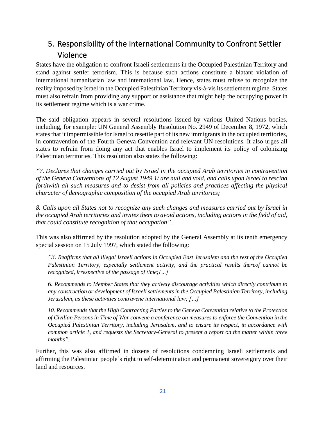## <span id="page-20-0"></span>5. Responsibility of the International Community to Confront Settler Violence

States have the obligation to confront Israeli settlements in the Occupied Palestinian Territory and stand against settler terrorism. This is because such actions constitute a blatant violation of international humanitarian law and international law. Hence, states must refuse to recognize the reality imposed by Israel in the Occupied Palestinian Territory vis-à-vis its settlement regime. States must also refrain from providing any support or assistance that might help the occupying power in its settlement regime which is a war crime.

The said obligation appears in several resolutions issued by various United Nations bodies, including, for example: UN General Assembly Resolution No. 2949 of December 8, 1972, which states that it impermissible for Israel to resettle part of its new immigrants in the occupied territories, in contravention of the Fourth Geneva Convention and relevant UN resolutions. It also urges all states to refrain from doing any act that enables Israel to implement its policy of colonizing Palestinian territories. This resolution also states the following:

*"7. Declares that changes carried out by Israel in the occupied Arab territories in contravention of the Geneva Conventions of 12 August 1949 1/ are null and void, and calls upon Israel to rescind forthwith all such measures and to desist from all policies and practices affecting the physical character of demographic composition of the occupied Arab territories;*

*8. Calls upon all States not to recognize any such changes and measures carried out by Israel in the occupied Arab territories and invites them to avoid actions, including actions in the field of aid, that could constitute recognition of that occupation".*

This was also affirmed by the resolution adopted by the General Assembly at its tenth emergency special session on 15 July 1997, which stated the following:

*"3. Reaffirms that all illegal Israeli actions in Occupied East Jerusalem and the rest of the Occupied Palestinian Territory, especially settlement activity, and the practical results thereof cannot be recognized, irrespective of the passage of time;[…]*

*6. Recommends to Member States that they actively discourage activities which directly contribute to any construction or development of Israeli settlements in the Occupied Palestinian Territory, including Jerusalem, as these activities contravene international law; […]*

*10. Recommends that the High Contracting Parties to the Geneva Convention relative to the Protection of Civilian Persons in Time of War convene a conference on measures to enforce the Convention in the Occupied Palestinian Territory, including Jerusalem, and to ensure its respect, in accordance with common article 1, and requests the Secretary-General to present a report on the matter within three months".*

Further, this was also affirmed in dozens of resolutions condemning Israeli settlements and affirming the Palestinian people's right to self-determination and permanent sovereignty over their land and resources.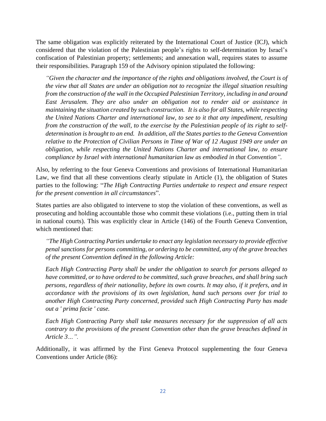The same obligation was explicitly reiterated by the International Court of Justice (ICJ), which considered that the violation of the Palestinian people's rights to self-determination by Israel's confiscation of Palestinian property; settlements; and annexation wall, requires states to assume their responsibilities. Paragraph 159 of the Advisory opinion stipulated the following:

*"Given the character and the importance of the rights and obligations involved, the Court is of the view that all States are under an obligation not to recognize the illegal situation resulting from the construction of the wall in the Occupied Palestinian Territory, including in and around East Jerusalem. They are also under an obligation not to render aid or assistance in maintaining the situation created by such construction. It is also for all States, while respecting the United Nations Charter and international law, to see to it that any impediment, resulting from the construction of the wall, to the exercise by the Palestinian people of its right to selfdetermination is brought to an end. In addition, all the States parties to the Geneva Convention relative to the Protection of Civilian Persons in Time of War of 12 August 1949 are under an obligation, while respecting the United Nations Charter and international law, to ensure compliance by Israel with international humanitarian law as embodied in that Convention".*

Also, by referring to the four Geneva Conventions and provisions of International Humanitarian Law, we find that all these conventions clearly stipulate in Article (1), the obligation of States parties to the following: "*The High Contracting Parties undertake to respect and ensure respect for the present convention in all circumstances*".

States parties are also obligated to intervene to stop the violation of these conventions, as well as prosecuting and holding accountable those who commit these violations (i.e., putting them in trial in national courts). This was explicitly clear in Article (146) of the Fourth Geneva Convention, which mentioned that:

*"The High Contracting Parties undertake to enact any legislation necessary to provide effective penal sanctions for persons committing, or ordering to be committed, any of the grave breaches of the present Convention defined in the following Article:*

*Each High Contracting Party shall be under the obligation to search for persons alleged to have committed, or to have ordered to be committed, such grave breaches, and shall bring such persons, regardless of their nationality, before its own courts. It may also, if it prefers, and in accordance with the provisions of its own legislation, hand such persons over for trial to another High Contracting Party concerned, provided such High Contracting Party has made out a ' prima facie ' case.*

*Each High Contracting Party shall take measures necessary for the suppression of all acts contrary to the provisions of the present Convention other than the grave breaches defined in Article 3…".*

Additionally, it was affirmed by the First Geneva Protocol supplementing the four Geneva Conventions under Article (86):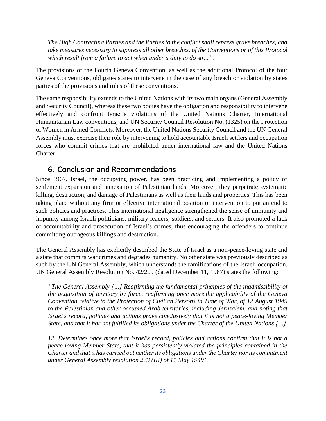*The High Contracting Parties and the Parties to the conflict shall repress grave breaches, and take measures necessary to suppress all other breaches, of the Conventions or of this Protocol which result from a failure to act when under a duty to do so…".*

The provisions of the Fourth Geneva Convention, as well as the additional Protocol of the four Geneva Conventions, obligates states to intervene in the case of any breach or violation by states parties of the provisions and rules of these conventions.

The same responsibility extends to the United Nations with its two main organs (General Assembly and Security Council), whereas these two bodies have the obligation and responsibility to intervene effectively and confront Israel's violations of the United Nations Charter, International Humanitarian Law conventions, and UN Security Council Resolution No. (1325) on the Protection of Women in Armed Conflicts. Moreover, the United Nations Security Council and the UN General Assembly must exercise their role by intervening to hold accountable Israeli settlers and occupation forces who commit crimes that are prohibited under international law and the United Nations Charter.

## <span id="page-22-0"></span>6. Conclusion and Recommendations

Since 1967, Israel, the occupying power, has been practicing and implementing a policy of settlement expansion and annexation of Palestinian lands. Moreover, they perpetrate systematic killing, destruction, and damage of Palestinians as well as their lands and properties. This has been taking place without any firm or effective international position or intervention to put an end to such policies and practices. This international negligence strengthened the sense of immunity and impunity among Israeli politicians, military leaders, soldiers, and settlers. It also promoted a lack of accountability and prosecution of Israel's crimes, thus encouraging the offenders to continue committing outrageous killings and destruction.

The General Assembly has explicitly described the State of Israel as a non-peace-loving state and a state that commits war crimes and degrades humanity. No other state was previously described as such by the UN General Assembly, which understands the ramifications of the Israeli occupation. UN General Assembly Resolution No. 42/209 (dated December 11, 1987) states the following:

*"The General Assembly […] Reaffirming the fundamental principles of the inadmissibility of the acquisition of territory by force, reaffirming once more the applicability of the Geneva Convention relative to the Protection of Civilian Persons in Time of War, of 12 August 1949 to the Palestinian and other occupied Arab territories, including Jerusalem, and noting that Israel's record, policies and actions prove conclusively that it is not a peace-loving Member State, and that it has not fulfilled its obligations under the Charter of the United Nations […]*

*12. Determines once more that Israel's record, policies and actions confirm that it is not a peace-loving Member State, that it has persistently violated the principles contained in the Charter and that it has carried out neither its obligations under the Charter nor its commitment under General Assembly resolution 273 (III) of 11 May 1949".*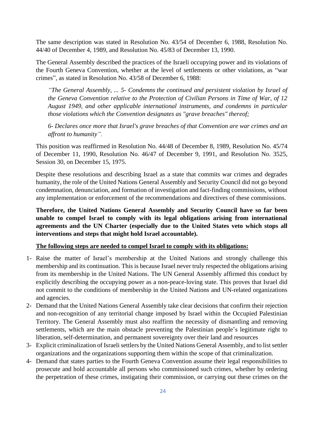The same description was stated in Resolution No. 43/54 of December 6, 1988, Resolution No. 44/40 of December 4, 1989, and Resolution No. 45/83 of December 13, 1990.

The General Assembly described the practices of the Israeli occupying power and its violations of the Fourth Geneva Convention, whether at the level of settlements or other violations, as "war crimes", as stated in Resolution No. 43/58 of December 6, 1988:

*"The General Assembly, ... 5- Condemns the continued and persistent violation by Israel of the Geneva Convention relative to the Protection of Civilian Persons in Time of War, of 12 August 1949, and other applicable international instruments, and condemns in particular those violations which the Convention designates as "grave breaches" thereof;*

*6- Declares once more that Israel's grave breaches of that Convention are war crimes and an affront to humanity".*

This position was reaffirmed in Resolution No. 44/48 of December 8, 1989, Resolution No. 45/74 of December 11, 1990, Resolution No. 46/47 of December 9, 1991, and Resolution No. 3525, Session 30, on December 15, 1975.

Despite these resolutions and describing Israel as a state that commits war crimes and degrades humanity, the role of the United Nations General Assembly and Security Council did not go beyond condemnation, denunciation, and formation of investigation and fact-finding commissions, without any implementation or enforcement of the recommendations and directives of these commissions.

**Therefore, the United Nations General Assembly and Security Council have so far been unable to compel Israel to comply with its legal obligations arising from international agreements and the UN Charter (especially due to the United States veto which stops all interventions and steps that might hold Israel accountable).** 

#### **The following steps are needed to compel Israel to comply with its obligations:**

- 1- Raise the matter of Israel's membership at the United Nations and strongly challenge this membership and its continuation. This is because Israel never truly respected the obligations arising from its membership in the United Nations. The UN General Assembly affirmed this conduct by explicitly describing the occupying power as a non-peace-loving state. This proves that Israel did not commit to the conditions of membership in the United Nations and UN-related organizations and agencies.
- 2- Demand that the United Nations General Assembly take clear decisions that confirm their rejection and non-recognition of any territorial change imposed by Israel within the Occupied Palestinian Territory. The General Assembly must also reaffirm the necessity of dismantling and removing settlements, which are the main obstacle preventing the Palestinian people's legitimate right to liberation, self-determination, and permanent sovereignty over their land and resources
- 3- Explicit criminalization of Israeli settlers by the United Nations General Assembly, and to list settler organizations and the organizations supporting them within the scope of that criminalization.
- 4- Demand that states parties to the Fourth Geneva Convention assume their legal responsibilities to prosecute and hold accountable all persons who commissioned such crimes, whether by ordering the perpetration of these crimes, instigating their commission, or carrying out these crimes on the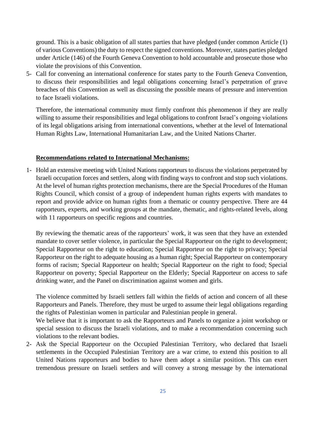ground. This is a basic obligation of all states parties that have pledged (under common Article (1) of various Conventions) the duty to respect the signed conventions. Moreover, states parties pledged under Article (146) of the Fourth Geneva Convention to hold accountable and prosecute those who violate the provisions of this Convention.

5- Call for convening an international conference for states party to the Fourth Geneva Convention, to discuss their responsibilities and legal obligations concerning Israel's perpetration of grave breaches of this Convention as well as discussing the possible means of pressure and intervention to face Israeli violations.

Therefore, the international community must firmly confront this phenomenon if they are really willing to assume their responsibilities and legal obligations to confront Israel's ongoing violations of its legal obligations arising from international conventions, whether at the level of International Human Rights Law, International Humanitarian Law, and the United Nations Charter.

#### **Recommendations related to International Mechanisms:**

1- Hold an extensive meeting with United Nations rapporteurs to discuss the violations perpetrated by Israeli occupation forces and settlers, along with finding ways to confront and stop such violations. At the level of human rights protection mechanisms, there are the Special Procedures of the Human Rights Council, which consist of a group of independent human rights experts with mandates to report and provide advice on human rights from a thematic or country perspective. There are 44 rapporteurs, experts, and working groups at the mandate, thematic, and rights-related levels, along with 11 rapporteurs on specific regions and countries.

By reviewing the thematic areas of the rapporteurs' work, it was seen that they have an extended mandate to cover settler violence, in particular the Special Rapporteur on the right to development; Special Rapporteur on the right to education; Special Rapporteur on the right to privacy; Special Rapporteur on the right to adequate housing as a human right; Special Rapporteur on contemporary forms of racism; Special Rapporteur on health; Special Rapporteur on the right to food; Special Rapporteur on poverty; Special Rapporteur on the Elderly; Special Rapporteur on access to safe drinking water, and the Panel on discrimination against women and girls.

The violence committed by Israeli settlers fall within the fields of action and concern of all these Rapporteurs and Panels. Therefore, they must be urged to assume their legal obligations regarding the rights of Palestinian women in particular and Palestinian people in general.

We believe that it is important to ask the Rapporteurs and Panels to organize a joint workshop or special session to discuss the Israeli violations, and to make a recommendation concerning such violations to the relevant bodies.

2- Ask the Special Rapporteur on the Occupied Palestinian Territory, who declared that Israeli settlements in the Occupied Palestinian Territory are a war crime, to extend this position to all United Nations rapporteurs and bodies to have them adopt a similar position. This can exert tremendous pressure on Israeli settlers and will convey a strong message by the international